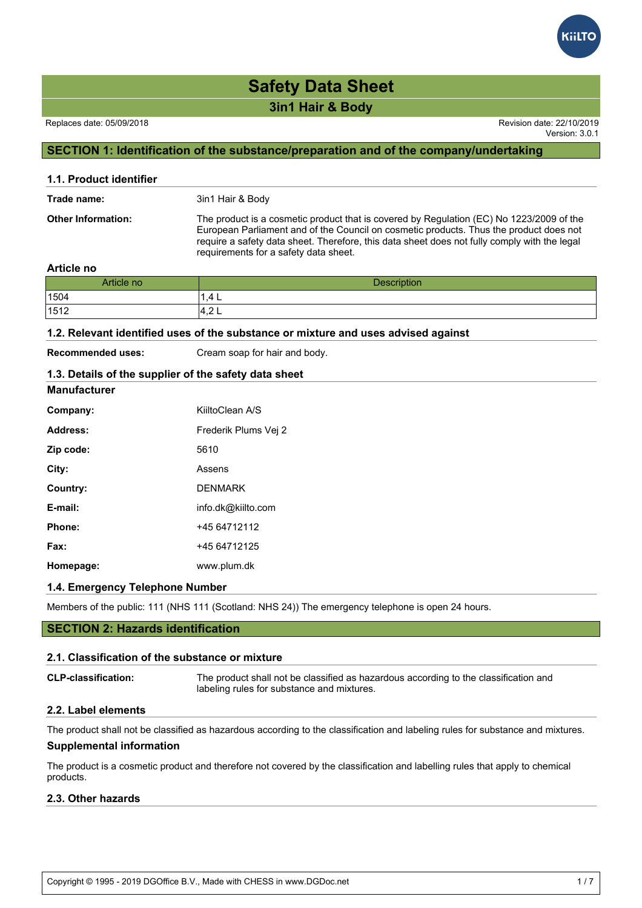**3in1 Hair & Body**

Version: 3.0.1

## **SECTION 1: Identification of the substance/preparation and of the company/undertaking**

| 1.1. Product identifier   |                                                                                                                                                                                                                                                                                                                             |
|---------------------------|-----------------------------------------------------------------------------------------------------------------------------------------------------------------------------------------------------------------------------------------------------------------------------------------------------------------------------|
| Trade name:               | 3in1 Hair & Body                                                                                                                                                                                                                                                                                                            |
| <b>Other Information:</b> | The product is a cosmetic product that is covered by Regulation (EC) No 1223/2009 of the<br>European Parliament and of the Council on cosmetic products. Thus the product does not<br>require a safety data sheet. Therefore, this data sheet does not fully comply with the legal<br>requirements for a safety data sheet. |

#### **Article no**

| Article no | <b>Description</b> |
|------------|--------------------|
| 1504       | 1,4 L              |
| 1512       | $\sim$<br>7.Z L    |

#### **1.2. Relevant identified uses of the substance or mixture and uses advised against**

**Manufacturer**

**Recommended uses:** Cream soap for hair and body.

## **1.3. Details of the supplier of the safety data sheet**

| Company:  | KiiltoClean A/S      |
|-----------|----------------------|
| Address:  | Frederik Plums Vei 2 |
| Zip code: | 5610                 |
| City:     | Assens               |
| Country:  | <b>DENMARK</b>       |
| E-mail:   | info.dk@kiilto.com   |
| Phone:    | +45 64712112         |
| Fax:      | +45 64712125         |
| Homepage: | www.plum.dk          |

#### **1.4. Emergency Telephone Number**

Members of the public: 111 (NHS 111 (Scotland: NHS 24)) The emergency telephone is open 24 hours.

#### **SECTION 2: Hazards identification**

#### **2.1. Classification of the substance or mixture**

**CLP-classification:** The product shall not be classified as hazardous according to the classification and labeling rules for substance and mixtures.

#### **2.2. Label elements**

The product shall not be classified as hazardous according to the classification and labeling rules for substance and mixtures.

#### **Supplemental information**

The product is a cosmetic product and therefore not covered by the classification and labelling rules that apply to chemical products.

#### **2.3. Other hazards**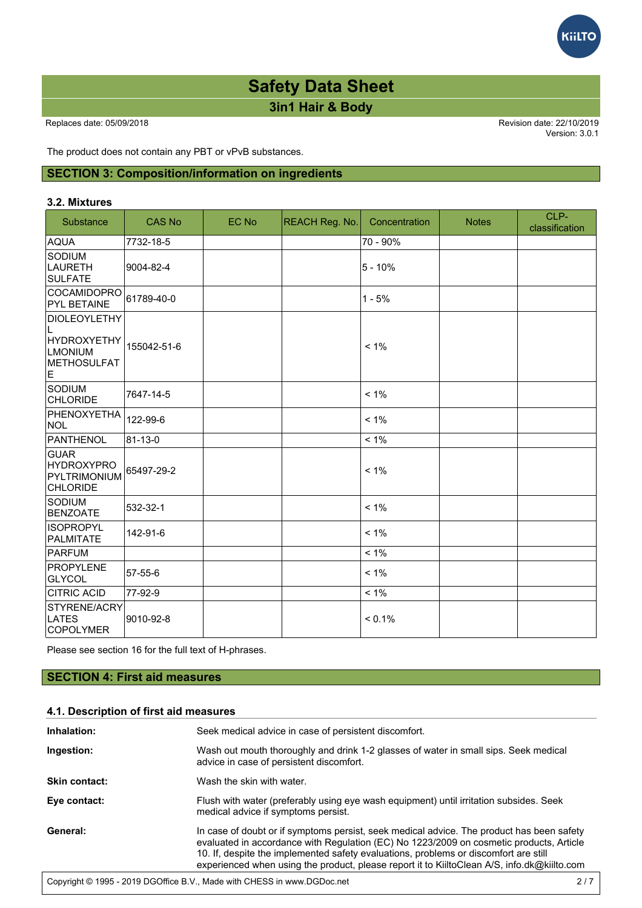**3in1 Hair & Body**

Version: 3.0.1

**GilTC** 

The product does not contain any PBT or vPvB substances.

### **SECTION 3: Composition/information on ingredients**

#### **3.2. Mixtures**

| Substance                                                                            | <b>CAS No</b> | EC No | <b>REACH Reg. No.</b> | Concentration | <b>Notes</b> | CLP-<br>classification |
|--------------------------------------------------------------------------------------|---------------|-------|-----------------------|---------------|--------------|------------------------|
| <b>AQUA</b>                                                                          | 7732-18-5     |       |                       | 70 - 90%      |              |                        |
| Sodium<br>LAURETH<br><b>SULFATE</b>                                                  | 9004-82-4     |       |                       | $5 - 10%$     |              |                        |
| COCAMIDOPRO<br><b>PYL BETAINE</b>                                                    | 61789-40-0    |       |                       | $1 - 5%$      |              |                        |
| <b>DIOLEOYLETHY</b><br>L<br><b>HYDROXYETHY</b><br>LMONIUM<br><b>METHOSULFAT</b><br>E | 155042-51-6   |       |                       | $< 1\%$       |              |                        |
| Sodium<br><b>CHLORIDE</b>                                                            | 7647-14-5     |       |                       | $< 1\%$       |              |                        |
| PHENOXYETHA<br><b>NOL</b>                                                            | 122-99-6      |       |                       | $< 1\%$       |              |                        |
| <b>PANTHENOL</b>                                                                     | 81-13-0       |       |                       | $< 1\%$       |              |                        |
| GUAR<br><b>HYDROXYPRO</b><br>PYLTRIMONIUM<br><b>CHLORIDE</b>                         | 65497-29-2    |       |                       | $< 1\%$       |              |                        |
| SODIUM<br><b>BENZOATE</b>                                                            | 532-32-1      |       |                       | $< 1\%$       |              |                        |
| <b>IISOPROPYL</b><br><b>PALMITATE</b>                                                | 142-91-6      |       |                       | $< 1\%$       |              |                        |
| PARFUM                                                                               |               |       |                       | $< 1\%$       |              |                        |
| PROPYLENE<br>GLYCOL                                                                  | 57-55-6       |       |                       | $< 1\%$       |              |                        |
| <b>CITRIC ACID</b>                                                                   | 77-92-9       |       |                       | $< 1\%$       |              |                        |
| STYRENE/ACRY<br>LATES<br><b>COPOLYMER</b>                                            | 9010-92-8     |       |                       | $< 0.1\%$     |              |                        |

Please see section 16 for the full text of H-phrases.

#### **SECTION 4: First aid measures**

#### **4.1. Description of first aid measures**

| Inhalation:          | Seek medical advice in case of persistent discomfort.                                                                                                                                                                                                                                                                                                                       |
|----------------------|-----------------------------------------------------------------------------------------------------------------------------------------------------------------------------------------------------------------------------------------------------------------------------------------------------------------------------------------------------------------------------|
| Ingestion:           | Wash out mouth thoroughly and drink 1-2 glasses of water in small sips. Seek medical<br>advice in case of persistent discomfort.                                                                                                                                                                                                                                            |
| <b>Skin contact:</b> | Wash the skin with water.                                                                                                                                                                                                                                                                                                                                                   |
| Eye contact:         | Flush with water (preferably using eye wash equipment) until irritation subsides. Seek<br>medical advice if symptoms persist.                                                                                                                                                                                                                                               |
| General:             | In case of doubt or if symptoms persist, seek medical advice. The product has been safety<br>evaluated in accordance with Regulation (EC) No 1223/2009 on cosmetic products, Article<br>10. If, despite the implemented safety evaluations, problems or discomfort are still<br>experienced when using the product, please report it to KiiltoClean A/S, info.dk@kiilto.com |
|                      | Convight @ 1005 2010 DCOffice R V Made with CHESS in www.DCDoc.pot                                                                                                                                                                                                                                                                                                          |

are metric shown adverse effects shown adverse effects shown always be reported to the competent authority of  $\mathcal{A}$ 

Copyright © 1995 - 2019 DGOffice B.V., Made with CHESS in www.DGDoc.net 2 / 7 **2 of the Regulation 2 / 7**  $\sim$  2 / 7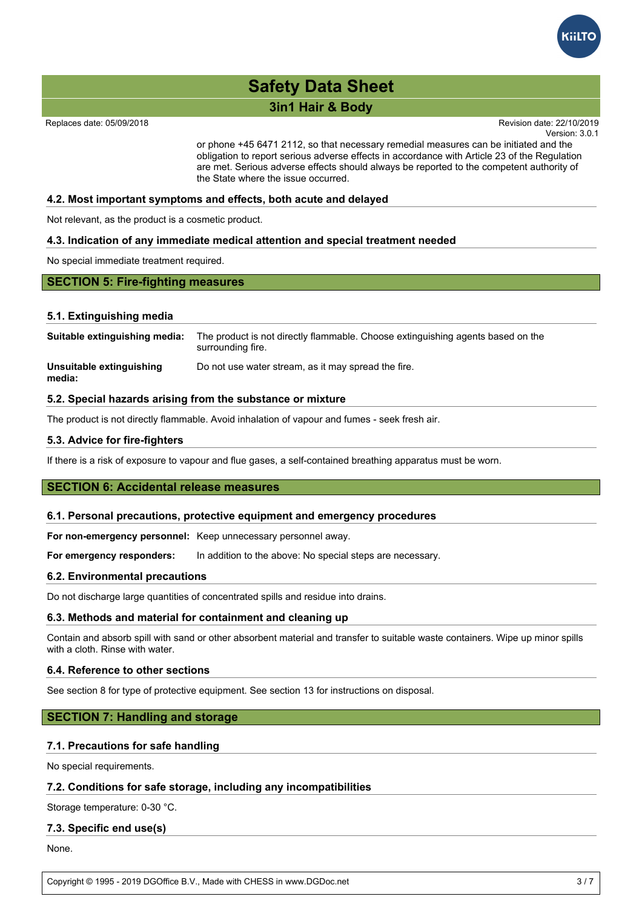

#### **3in1 Hair & Body In case of doubt of doubt or if symptoms persisted advice. The product has been safety of doubt or if symptoms persisted and advice. The product has been safety of the product has been safety of the pro** evaluated in accordance with Regulation (EC) No 1223/2009 on cosmetic products, Article products, Article products, Article products, Article products, Article products, Article products, Article products, Article products

Replaces date: 05/09/2018

Version: 3.0.1 Revision date: 22/10/2019 experienced when using the product  $\alpha$  is to  $\alpha$  it to  $K$  is to  $K$  information.  $\alpha$ 

or phone +45 6471 2112, so that necessary remedial measures can be initiated and the obligation to report serious adverse effects in accordance with Article 23 of the Regulation are met. Serious adverse effects should always be reported to the competent authority of the State where the issue occurred.

#### **4.2. Most important symptoms and effects, both acute and delayed**

Not relevant, as the product is a cosmetic product.

#### **4.3. Indication of any immediate medical attention and special treatment needed**

No special immediate treatment required.

#### **SECTION 5: Fire-fighting measures**

#### **5.1. Extinguishing media**

| Suitable extinguishing media:      | The product is not directly flammable. Choose extinguishing agents based on the<br>surrounding fire. |
|------------------------------------|------------------------------------------------------------------------------------------------------|
| Unsuitable extinguishing<br>media: | Do not use water stream, as it may spread the fire.                                                  |

#### **5.2. Special hazards arising from the substance or mixture**

The product is not directly flammable. Avoid inhalation of vapour and fumes - seek fresh air.

#### **5.3. Advice for fire-fighters**

If there is a risk of exposure to vapour and flue gases, a self-contained breathing apparatus must be worn.

#### **SECTION 6: Accidental release measures**

#### **6.1. Personal precautions, protective equipment and emergency procedures**

**For non-emergency personnel:** Keep unnecessary personnel away.

**For emergency responders:** In addition to the above: No special steps are necessary.

#### **6.2. Environmental precautions**

Do not discharge large quantities of concentrated spills and residue into drains.

#### **6.3. Methods and material for containment and cleaning up**

Contain and absorb spill with sand or other absorbent material and transfer to suitable waste containers. Wipe up minor spills with a cloth. Rinse with water.

#### **6.4. Reference to other sections**

See section 8 for type of protective equipment. See section 13 for instructions on disposal.

#### **SECTION 7: Handling and storage**

#### **7.1. Precautions for safe handling**

No special requirements.

#### **7.2. Conditions for safe storage, including any incompatibilities**

Storage temperature: 0-30 °C.

#### **7.3. Specific end use(s)**

None.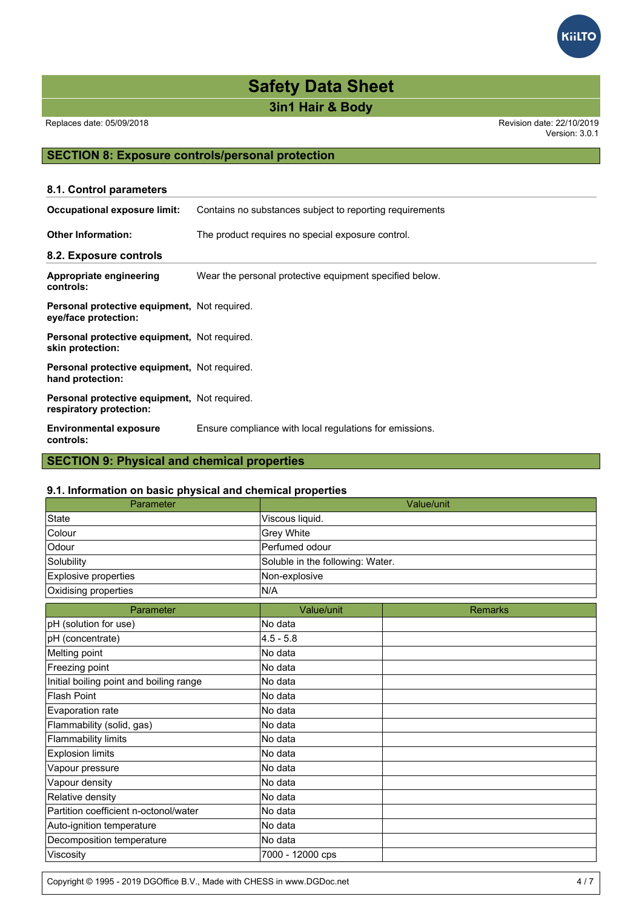**3in1 Hair & Body**

Replaces date: 05/09/2018 Revision date: 22/10/2019

Version: 3.0.1

### **SECTION 8: Exposure controls/personal protection**

| 8.1. Control parameters                                                 |                                                          |  |  |
|-------------------------------------------------------------------------|----------------------------------------------------------|--|--|
| <b>Occupational exposure limit:</b>                                     | Contains no substances subject to reporting requirements |  |  |
| <b>Other Information:</b>                                               | The product requires no special exposure control.        |  |  |
| 8.2. Exposure controls                                                  |                                                          |  |  |
| Appropriate engineering<br>controls:                                    | Wear the personal protective equipment specified below.  |  |  |
| Personal protective equipment, Not required.<br>eye/face protection:    |                                                          |  |  |
| Personal protective equipment, Not required.<br>skin protection:        |                                                          |  |  |
| Personal protective equipment, Not required.<br>hand protection:        |                                                          |  |  |
| Personal protective equipment, Not required.<br>respiratory protection: |                                                          |  |  |
| <b>Environmental exposure</b><br>controls:                              | Ensure compliance with local regulations for emissions.  |  |  |
| <b>SECTION 9: Physical and chemical properties</b>                      |                                                          |  |  |

#### **9.1. Information on basic physical and chemical properties**

| Parameter                               |                                  | Value/unit     |  |
|-----------------------------------------|----------------------------------|----------------|--|
| <b>State</b>                            | Viscous liquid.                  |                |  |
| Colour                                  | Grey White                       |                |  |
| Odour                                   | Perfumed odour                   |                |  |
| Solubility                              | Soluble in the following: Water. |                |  |
| <b>Explosive properties</b>             | Non-explosive                    |                |  |
| Oxidising properties                    | N/A                              |                |  |
| Parameter                               | Value/unit                       | <b>Remarks</b> |  |
| pH (solution for use)                   | No data                          |                |  |
| pH (concentrate)                        | $4.5 - 5.8$                      |                |  |
| Melting point                           | No data                          |                |  |
| Freezing point                          | No data                          |                |  |
| Initial boiling point and boiling range | No data                          |                |  |
| <b>Flash Point</b>                      | No data                          |                |  |
| Evaporation rate                        | No data                          |                |  |
| Flammability (solid, gas)               | No data                          |                |  |
| Flammability limits                     | No data                          |                |  |
| <b>Explosion limits</b>                 | No data                          |                |  |
| Vapour pressure                         | No data                          |                |  |
| Vapour density                          | No data                          |                |  |
| Relative density                        | No data                          |                |  |
| Partition coefficient n-octonol/water   | No data                          |                |  |
| Auto-ignition temperature               | No data                          |                |  |
| Decomposition temperature               | No data                          |                |  |
| Viscosity                               | 7000 - 12000 cps                 |                |  |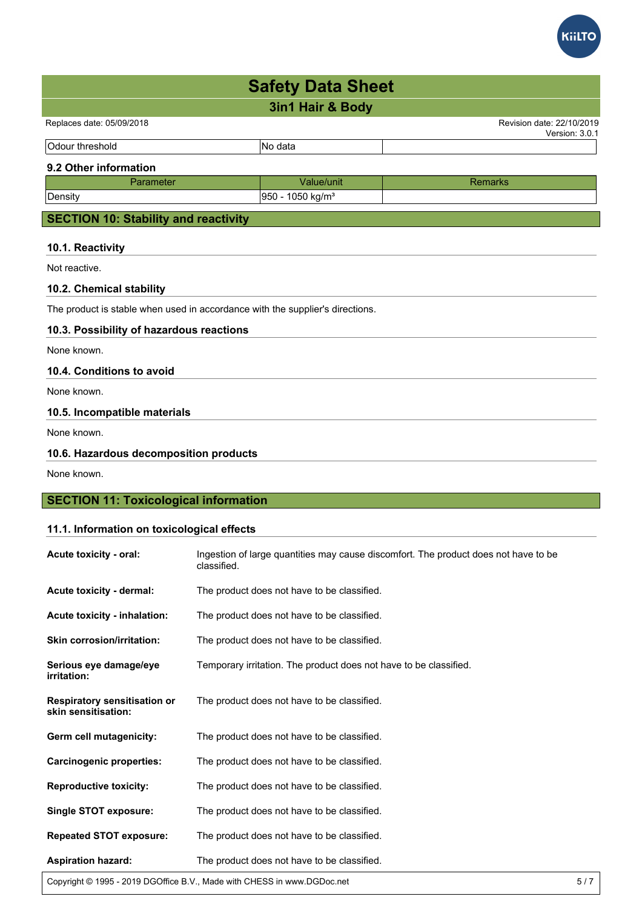

None known.

### **SECTION 11: Toxicological information**

#### **11.1. Information on toxicological effects**

| Acute toxicity - oral:                                     | Ingestion of large quantities may cause discomfort. The product does not have to be<br>classified. |
|------------------------------------------------------------|----------------------------------------------------------------------------------------------------|
| Acute toxicity - dermal:                                   | The product does not have to be classified.                                                        |
| Acute toxicity - inhalation:                               | The product does not have to be classified.                                                        |
| <b>Skin corrosion/irritation:</b>                          | The product does not have to be classified.                                                        |
| Serious eye damage/eye<br>irritation:                      | Temporary irritation. The product does not have to be classified.                                  |
| <b>Respiratory sensitisation or</b><br>skin sensitisation: | The product does not have to be classified.                                                        |
| Germ cell mutagenicity:                                    | The product does not have to be classified.                                                        |
| <b>Carcinogenic properties:</b>                            | The product does not have to be classified.                                                        |
| <b>Reproductive toxicity:</b>                              | The product does not have to be classified.                                                        |
| <b>Single STOT exposure:</b>                               | The product does not have to be classified.                                                        |
| <b>Repeated STOT exposure:</b>                             | The product does not have to be classified.                                                        |
| <b>Aspiration hazard:</b>                                  | The product does not have to be classified.                                                        |

Copyright © 1995 - 2019 DGOffice B.V., Made with CHESS in www.DGDoc.net 5 / 7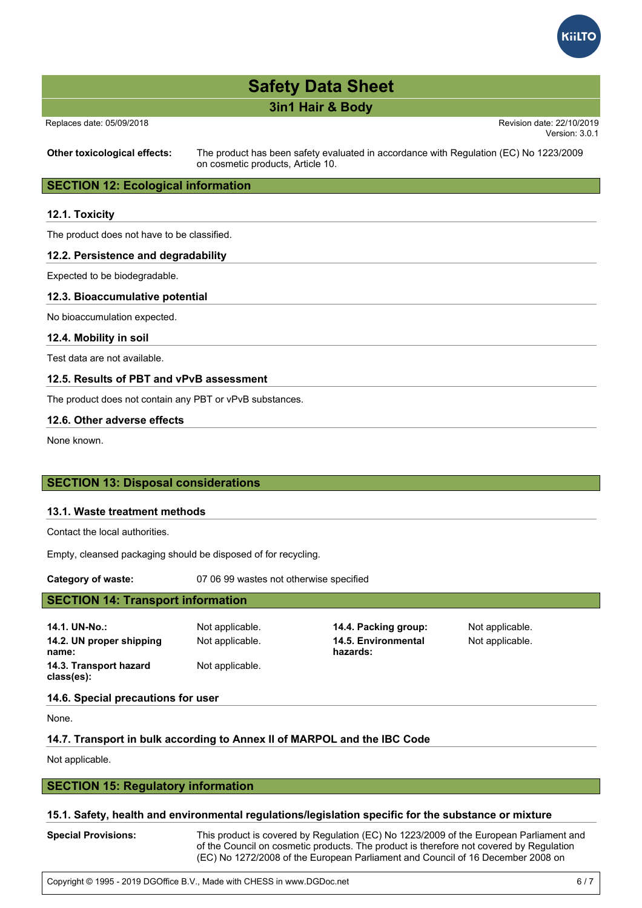

# **3in1 Hair & Body**

Replaces date: 05/09/2018 **Replaces** date: 22/10/2019

Version: 3.0.1

**Other toxicological effects:** The product has been safety evaluated in accordance with Regulation (EC) No 1223/2009 on cosmetic products, Article 10.

## **SECTION 12: Ecological information**

#### **12.1. Toxicity**

The product does not have to be classified.

#### **12.2. Persistence and degradability**

Expected to be biodegradable.

#### **12.3. Bioaccumulative potential**

No bioaccumulation expected.

**12.4. Mobility in soil**

Test data are not available.

#### **12.5. Results of PBT and vPvB assessment**

The product does not contain any PBT or vPvB substances.

#### **12.6. Other adverse effects**

None known.

#### **SECTION 13: Disposal considerations**

#### **13.1. Waste treatment methods**

Contact the local authorities.

Empty, cleansed packaging should be disposed of for recycling.

**Category of waste:** 07 06 99 wastes not otherwise specified

#### **SECTION 14: Transport information**

**14.1. UN-No.:** Not applicable. **14.4. Packing group:** Not applicable. **14.2. UN proper shipping name: 14.3. Transport hazard class(es):**

Not applicable.

Not applicable. **14.5. Environmental hazards:**

Not applicable.

**14.6. Special precautions for user**

None.

#### **14.7. Transport in bulk according to Annex II of MARPOL and the IBC Code**

Not applicable.

#### **SECTION 15: Regulatory information**

#### **15.1. Safety, health and environmental regulations/legislation specific for the substance or mixture**

**Special Provisions:** This product is covered by Regulation (EC) No 1223/2009 of the European Parliament and of the Council on cosmetic products. The product is therefore not covered by Regulation (EC) No 1272/2008 of the European Parliament and Council of 16 December 2008 on

classification, labelling and packaging of substances and mixtures in accordance with